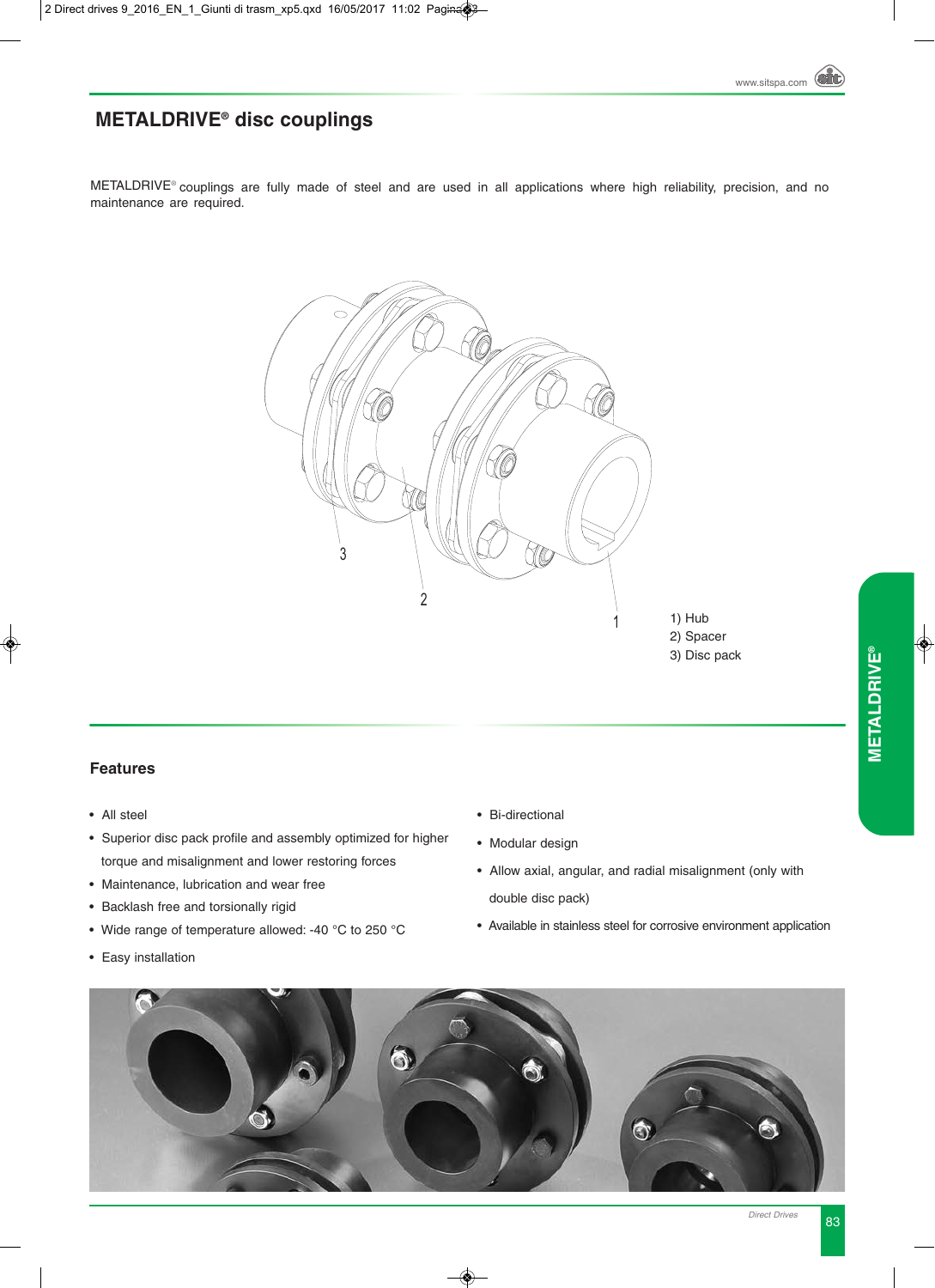# **METALDRIVE® disc couplings**

METALDRIVE® couplings are fully made of steel and are used in all applications where high reliability, precision, and no maintenance are required.



### **Features**

- All steel
- Superior disc pack profile and assembly optimized for higher torque and misalignment and lower restoring forces
- Maintenance, lubrication and wear free
- Backlash free and torsionally rigid
- Wide range of temperature allowed: -40 °C to 250 °C
- Easy installation
- Bi-directional
- Modular design
- Allow axial, angular, and radial misalignment (only with double disc pack)
- Available in stainless steel for corrosive environment application

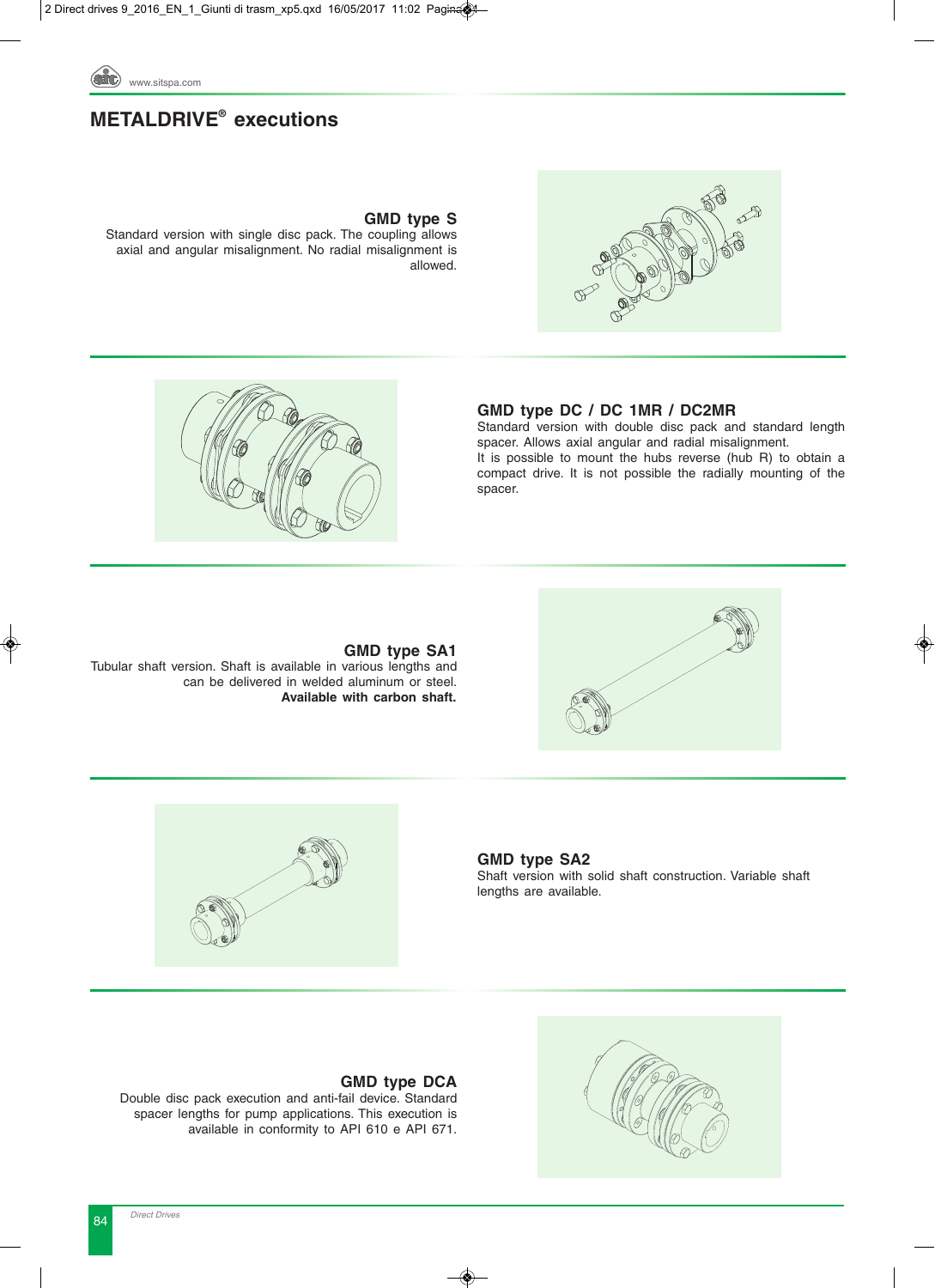

## **METALDRIVE® executions**



### **GMD type S**

Standard version with single disc pack. The coupling allows axial and angular misalignment. No radial misalignment is allowed.

### **GMD type DC / DC 1MR / DC2MR**

Standard version with double disc pack and standard length spacer. Allows axial angular and radial misalignment. It is possible to mount the hubs reverse (hub R) to obtain a compact drive. It is not possible the radially mounting of the spacer.





### **GMD type SA1**

Tubular shaft version. Shaft is available in various lengths and L can be delivered in welded aluminum or steel. **Available with carbon shaft.**



**GMD type SA2** Shaft version with solid shaft construction. Variable shaft lengths are available.



### **GMD type DCA**

Double disc pack execution and anti-fail device. Standard spacer lengths for pump applications. This execution is available in conformity to API 610 e API 671.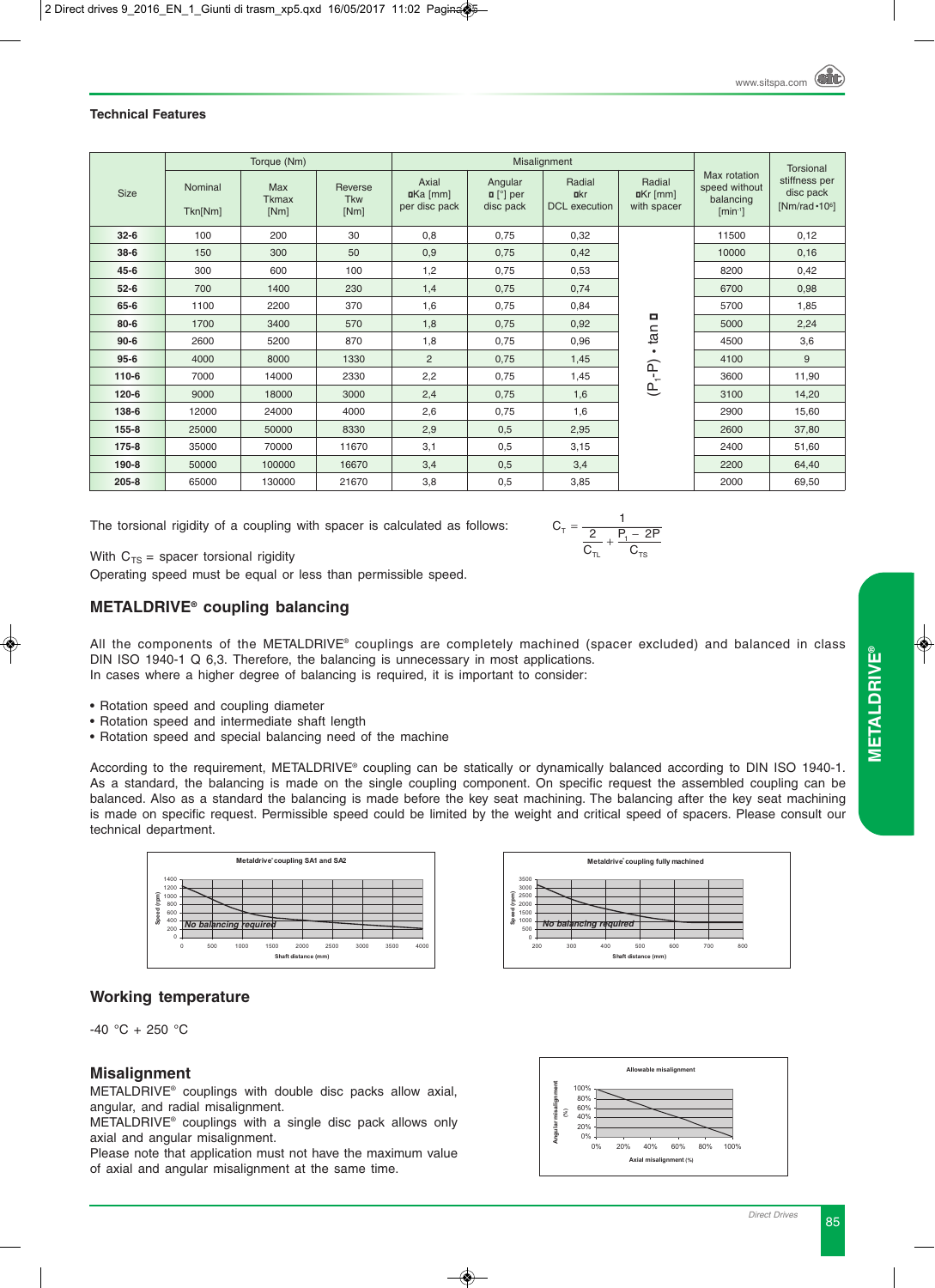### **Technical Features**

|           |                    | Torque (Nm)                 |                               |                                       |                                                | Misalignment                                  |                                      |                                                            | <b>Torsional</b>                                    |  |
|-----------|--------------------|-----------------------------|-------------------------------|---------------------------------------|------------------------------------------------|-----------------------------------------------|--------------------------------------|------------------------------------------------------------|-----------------------------------------------------|--|
| Size      | Nominal<br>Tkn[Nm] | Max<br><b>Tkmax</b><br>[Nm] | Reverse<br><b>Tkw</b><br>[Nm] | Axial<br>$I Ka$ [mm]<br>per disc pack | Angular<br>$\blacksquare$ [°] per<br>disc pack | Radial<br><b>u</b> kr<br><b>DCL</b> execution | Radial<br>$I Kr$ [mm]<br>with spacer | Max rotation<br>speed without<br>balancing<br>$[min^{-1}]$ | stiffness per<br>disc pack<br>$[Nm/rad \cdot 10^6]$ |  |
| $32 - 6$  | 100                | 200                         | 30                            | 0,8                                   | 0,75<br>0,32                                   |                                               |                                      | 11500                                                      | 0,12                                                |  |
| $38-6$    | 150                | 300<br>50                   |                               | 0,9                                   | 0,75                                           | 0,42                                          |                                      | 10000                                                      | 0,16                                                |  |
| $45 - 6$  | 300                | 600                         | 100                           | 1,2                                   | 0,75                                           | 0,53                                          |                                      | 8200                                                       | 0,42                                                |  |
| $52 - 6$  | 700                | 1400                        | 230                           | 1,4                                   | 0,75                                           | 0,74                                          |                                      | 6700                                                       | 0,98                                                |  |
| 65-6      | 1100               | 2200                        | 370                           | 1,6                                   | 0,75                                           | 0,84                                          |                                      | 5700                                                       | 1,85                                                |  |
| $80 - 6$  | 1700               | 3400                        | 570                           | 1,8                                   | 0,75                                           | 0,92                                          | tan <b>o</b>                         | 5000                                                       | 2,24                                                |  |
| $90 - 6$  | 2600               | 5200                        | 870                           | 1,8                                   | 0,75                                           | 0,96                                          |                                      | 4500                                                       | 3,6                                                 |  |
| $95 - 6$  | 4000               | 8000                        | 1330                          | 2                                     | 0,75                                           | 1,45                                          |                                      | 4100                                                       | 9                                                   |  |
| 110-6     | 7000               | 14000                       | 2330                          | 2,2                                   | 0,75                                           | 1,45                                          | $(P_1 - P)$                          | 3600                                                       | 11,90                                               |  |
| $120 - 6$ | 9000               | 18000                       | 3000                          | 2,4                                   | 0,75                                           | 1,6                                           |                                      | 3100                                                       | 14,20                                               |  |
| 138-6     | 12000              | 24000                       | 4000                          | 2,6                                   | 0,75                                           | 1,6                                           |                                      | 2900                                                       | 15,60                                               |  |
| 155-8     | 25000              | 50000                       | 8330                          | 2,9                                   | 0,5                                            | 2,95                                          |                                      | 2600                                                       | 37,80                                               |  |
| $175 - 8$ | 35000              | 70000                       | 3,1<br>11670                  |                                       | 0,5                                            | 3,15                                          |                                      | 2400                                                       | 51,60                                               |  |
| 190-8     | 50000              | 100000<br>16670             |                               | 3,4                                   | 0,5                                            | 3,4                                           |                                      | 2200                                                       | 64,40                                               |  |
| $205 - 8$ | 65000              | 130000                      | 21670                         | 3,8                                   | 0,5                                            | 3,85                                          |                                      | 2000                                                       | 69,50                                               |  |

The torsional rigidity of a coupling with spacer is calculated as follows:

$$
C_{T} = \frac{1}{\frac{2}{C_{T_{L}}} + \frac{P_{t} - 2P}{C_{T_{S}}}}
$$

With  $C_{TS}$  = spacer torsional rigidity

Operating speed must be equal or less than permissible speed.

### **METALDRIVE® coupling balancing**

All the components of the METALDRIVE® couplings are completely machined (spacer excluded) and balanced in class DIN ISO 1940-1 Q 6,3. Therefore, the balancing is unnecessary in most applications. In cases where a higher degree of balancing is required, it is important to consider:

- Rotation speed and coupling diameter
- Rotation speed and intermediate shaft length
- Rotation speed and special balancing need of the machine

According to the requirement, METALDRIVE® coupling can be statically or dynamically balanced according to DIN ISO 1940-1. As a standard, the balancing is made on the single coupling component. On specific request the assembled coupling can be balanced. Also as a standard the balancing is made before the key seat machining. The balancing after the key seat machining is made on specific request. Permissible speed could be limited by the weight and critical speed of spacers. Please consult our technical department.

Equilibratura non richiesta Equilibratura non richiesta





### **Working temperature**

 $-40 °C + 250 °C$ 

### **Misalignment**

METALDRIVE® couplings with double disc packs allow axial, angular, and radial misalignment.

METALDRIVE® couplings with a single disc pack allows only axial and angular misalignment.

Please note that application must not have the maximum value of axial and angular misalignment at the same time. t<br>
e

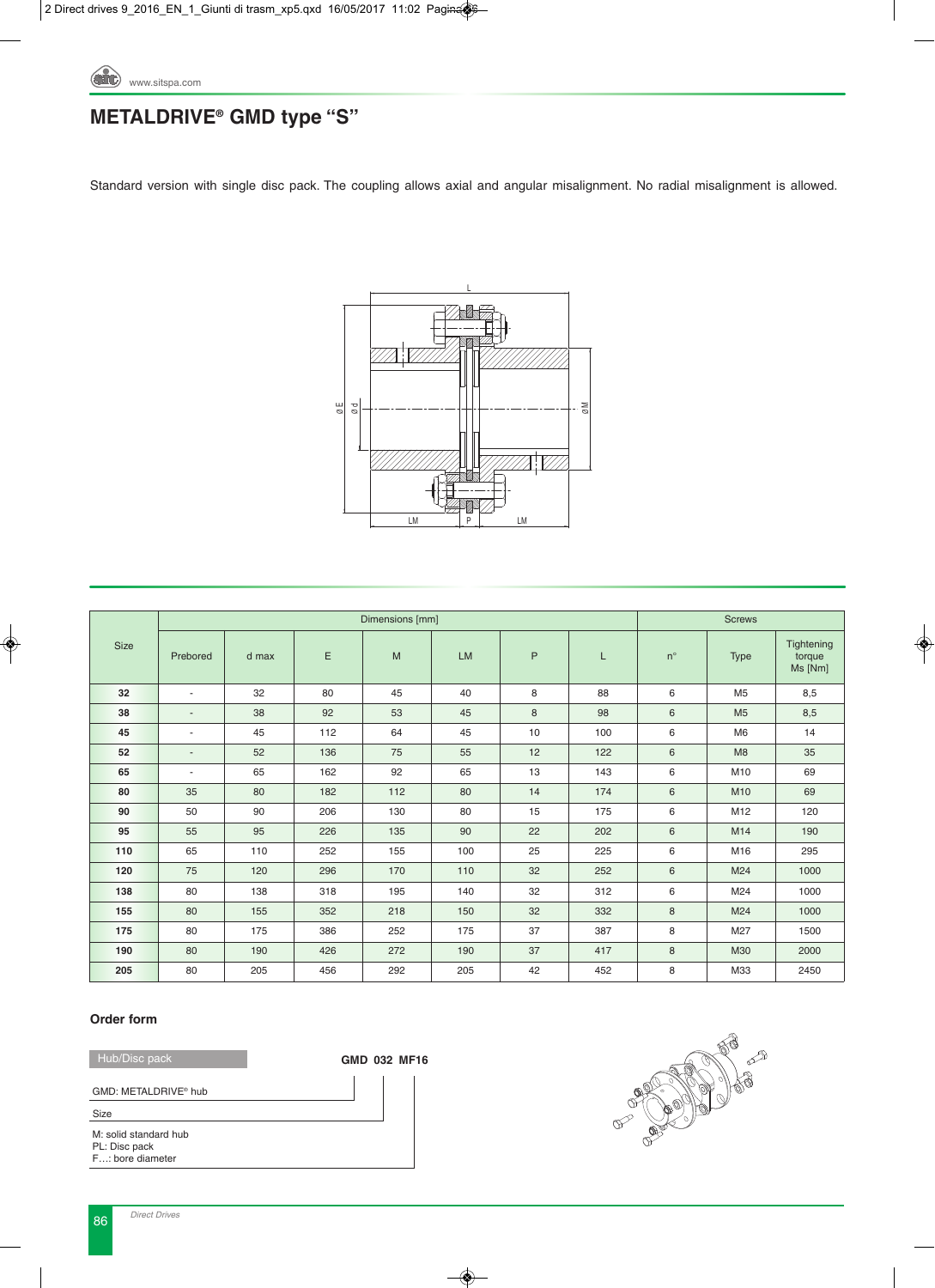

# **METALDRIVE® GMD type "S"**

Standard version with single disc pack. The coupling allows axial and angular misalignment. No radial misalignment is allowed.



|             |                          |       |     | Dimensions [mm] |           |    |     |             | <b>Screws</b>  |                                 |
|-------------|--------------------------|-------|-----|-----------------|-----------|----|-----|-------------|----------------|---------------------------------|
| <b>Size</b> | Prebored                 | d max | Ε   | M               | <b>LM</b> | P  | L   | $n^{\circ}$ | <b>Type</b>    | Tightening<br>torque<br>Ms [Nm] |
| 32          | $\sim$                   | 32    | 80  | 45              | 40        | 8  | 88  | 6           | M <sub>5</sub> | 8,5                             |
| 38          |                          | 38    | 92  | 53              | 45        | 8  | 98  | 6           | M <sub>5</sub> | 8,5                             |
| 45          | $\overline{\phantom{a}}$ | 45    | 112 | 64              | 45        | 10 | 100 | 6           | M <sub>6</sub> | 14                              |
| 52          | $\overline{\phantom{a}}$ | 52    | 136 | 75              | 55        | 12 | 122 | 6           | M8             | 35                              |
| 65          | $\overline{\phantom{a}}$ | 65    | 162 | 92              | 65        | 13 | 143 | 6           | M10            | 69                              |
| 80          | 35                       | 80    | 182 | 112             | 80        | 14 | 174 | 6           | M10            | 69                              |
| 90          | 50                       | 90    | 206 | 130             | 80        | 15 | 175 | 6           | M12            | 120                             |
| 95          | 55                       | 95    | 226 | 135             | 90        | 22 | 202 | 6           | M14            | 190                             |
| 110         | 65                       | 110   | 252 | 155             | 100       | 25 | 225 | 6           | M16            | 295                             |
| 120         | 75                       | 120   | 296 | 170             | 110       | 32 | 252 | 6           | M24            | 1000                            |
| 138         | 80                       | 138   | 318 | 195             | 140       | 32 | 312 | 6           | M24            | 1000                            |
| 155         | 80                       | 155   | 352 | 218             | 150       | 32 | 332 | 8           | M24            | 1000                            |
| 175         | 80                       | 175   | 386 | 252             | 175       | 37 | 387 | 8           | M27            | 1500                            |
| 190         | 80                       | 190   | 426 | 272             | 190       | 37 | 417 | 8           | M30            | 2000                            |
| 205         | 80                       | 205   | 456 | 292             | 205       | 42 | 452 | 8           | M33            | 2450                            |

### **Order form**

Hub/Disc pack

GMD: METALDRIVE® hub

**GMD MF16 032**

**B** TP 9 B

M: solid standard hub PL: Disc pack F…: bore diameter Size

86 *Direct Drives*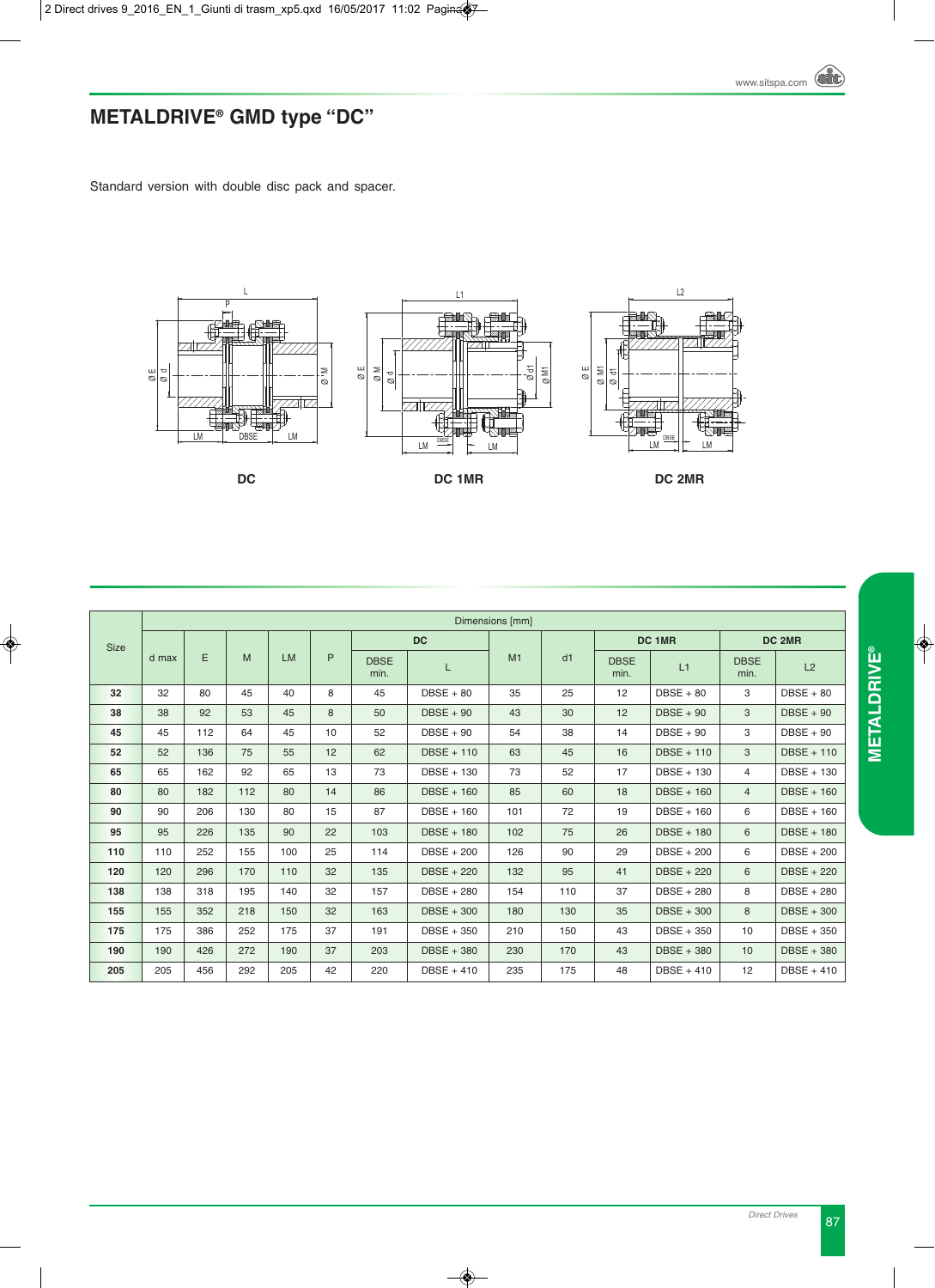# **METALDRIVE® GMD type "DC"**

Standard version with double disc pack and spacer.



|             |       |     |     |           |    |                     |                   | Dimensions [mm] |     |                     |                   |                     |                   |
|-------------|-------|-----|-----|-----------|----|---------------------|-------------------|-----------------|-----|---------------------|-------------------|---------------------|-------------------|
| <b>Size</b> |       |     |     |           |    |                     | <b>DC</b>         |                 |     |                     | DC 1MR            |                     | DC 2MR            |
|             | d max | E   | M   | <b>LM</b> | P  | <b>DBSE</b><br>min. | L                 | M1              | d1  | <b>DBSE</b><br>min. | L1                | <b>DBSE</b><br>min. | L2                |
| 32          | 32    | 80  | 45  | 40        | 8  | 45                  | $DBSE + 80$       | 35              | 25  | 12                  | $DBSE + 80$       | 3                   | $DBSE + 80$       |
| 38          | 38    | 92  | 53  | 45        | 8  | 50                  | $DBSE + 90$<br>43 |                 | 30  | $DBSE + 90$<br>12   |                   | 3                   | $DBSE + 90$       |
| 45          | 45    | 112 | 64  | 45        | 10 | 52                  | $DBSE + 90$       |                 | 38  | $DBSE + 90$<br>14   |                   | 3                   | $DBSE + 90$       |
| 52          | 52    | 136 | 75  | 55        | 12 | 62                  | <b>DBSE + 110</b> | 63              | 45  | 16                  | $DBSE + 110$      |                     | DBSE + 110        |
| 65          | 65    | 162 | 92  | 65        | 13 | 73                  | $DBSE + 130$      | 73              | 52  | 17                  | DBSE + 130        | $\overline{4}$      | DBSE + 130        |
| 80          | 80    | 182 | 112 | 80        | 14 | 86                  | <b>DBSE + 160</b> | 85              | 60  | 18                  | $DBSE + 160$      | $\overline{4}$      | <b>DBSE + 160</b> |
| 90          | 90    | 206 | 130 | 80        | 15 | 87                  | $DBSE + 160$      | 101             | 72  | 19                  | $DBSE + 160$      | 6                   | DBSE + 160        |
| 95          | 95    | 226 | 135 | 90        | 22 | 103                 | DBSE + 180        | 102             | 75  | 26                  | <b>DBSE + 180</b> | 6                   | DBSE + 180        |
| 110         | 110   | 252 | 155 | 100       | 25 | 114                 | <b>DBSE + 200</b> | 126             | 90  | DBSE + 200<br>29    |                   | 6                   | <b>DBSE + 200</b> |
| 120         | 120   | 296 | 170 | 110       | 32 | 135                 | <b>DBSE + 220</b> | 132             | 95  | 41                  | <b>DBSE + 220</b> | 6                   | <b>DBSE + 220</b> |
| 138         | 138   | 318 | 195 | 140       | 32 | 157                 | <b>DBSE + 280</b> | 154             | 110 | 37                  | $DBSE + 280$      | 8                   | <b>DBSE + 280</b> |
| 155         | 155   | 352 | 218 | 150       | 32 | 163                 | <b>DBSE + 300</b> | 180             | 130 | 35                  | DBSE + 300        | 8                   | <b>DBSE + 300</b> |
| 175         | 175   | 386 | 252 | 175       | 37 | 191                 | DBSE + 350<br>210 |                 | 150 | 43                  | $DBSE + 350$      | 10                  | <b>DBSE + 350</b> |
| 190         | 190   | 426 | 272 | 190       | 37 | 203                 | DBSE + 380        | 230             | 170 | 43                  | $DBSE + 380$      | 10                  | <b>DBSE + 380</b> |
| 205         | 205   | 456 | 292 | 205       | 42 | 220                 | DBSE + 410        | 235             | 175 | 48                  | DBSE + 410        | 12                  | $DBSE + 410$      |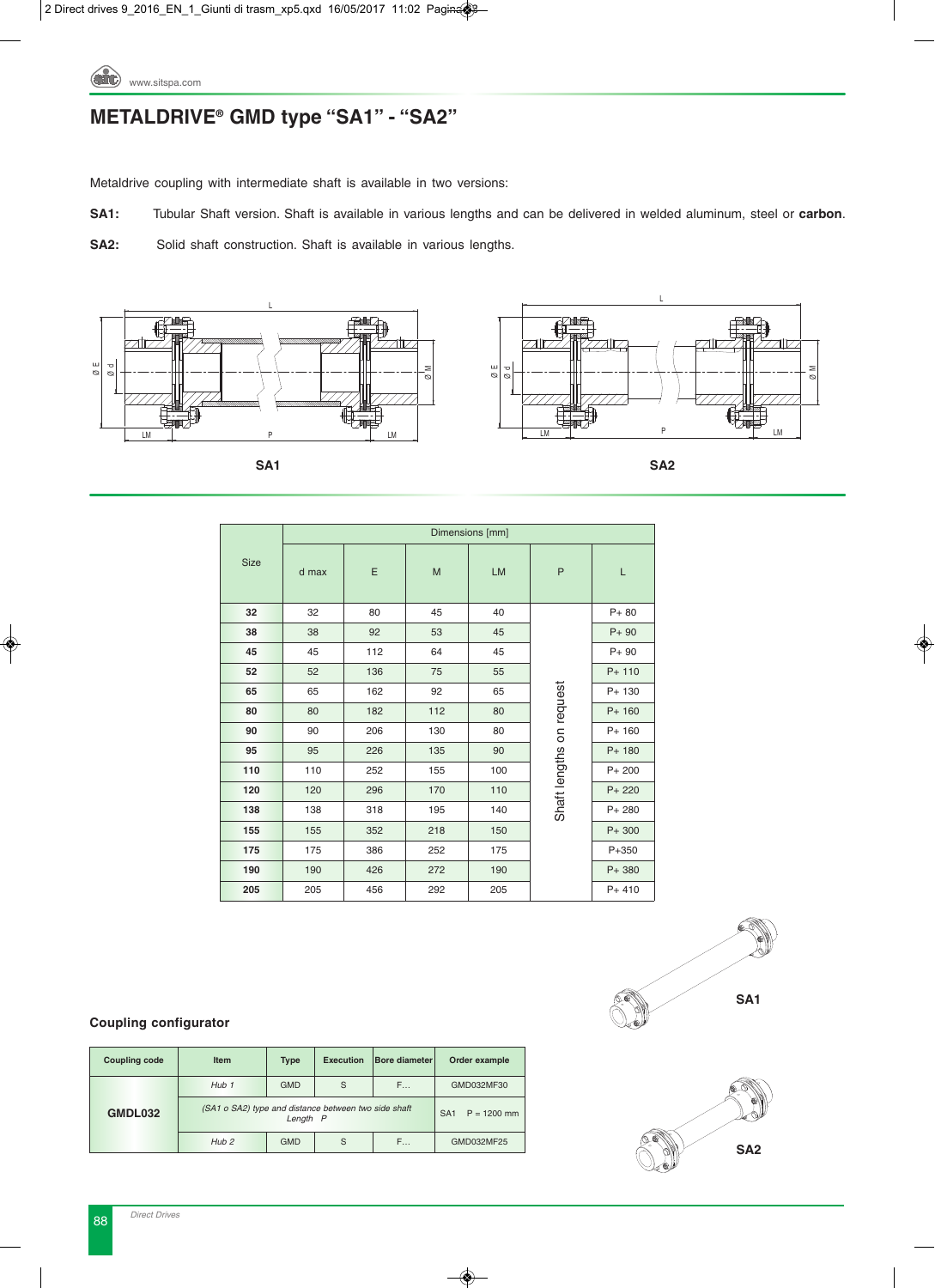

# **METALDRIVE® GMD type "SA1" - "SA2"**

Metaldrive coupling with intermediate shaft is available in two versions:

**SA1:** Tubular Shaft version. Shaft is available in various lengths and can be delivered in welded aluminum, steel or **carbon**. L

**SA2:** Solid shaft construction. Shaft is available in various lengths.



SA1



SA<sub>2</sub> **SA1 SA2**  ØM ⊘

|      |       |     |     | Dimensions [mm] |                          |           |
|------|-------|-----|-----|-----------------|--------------------------|-----------|
| Size | d max | Ε   | M   | <b>LM</b>       | P                        | Г         |
| 32   | 32    | 80  | 45  | 40              |                          | $P + 80$  |
| 38   | 38    | 92  | 53  | 45              |                          | $P + 90$  |
| 45   | 45    | 112 | 64  | 45              |                          | $P + 90$  |
| 52   | 52    | 136 | 75  | 55              | Shaft lengths on request | $P+ 110$  |
| 65   | 65    | 162 | 92  | 65              |                          | P+ 130    |
| 80   | 80    | 182 | 112 | 80              |                          | $P+ 160$  |
| 90   | 90    | 206 | 130 | 80              |                          | $P+ 160$  |
| 95   | 95    | 226 | 135 | 90              |                          | $P+ 180$  |
| 110  | 110   | 252 | 155 | 100             |                          | $P + 200$ |
| 120  | 120   | 296 | 170 | 110             |                          | $P + 220$ |
| 138  | 138   | 318 | 195 | 140             |                          | $P + 280$ |
| 155  | 155   | 352 | 218 | 150             |                          | $P + 300$ |
| 175  | 175   | 386 | 252 | 175             |                          | $P + 350$ |
| 190  | 190   | 426 | 272 | 190             |                          | $P + 380$ |
| 205  | 205   | 456 | 292 | 205             |                          | $P + 410$ |

M

### **Coupling configurator**

| <b>Coupling code</b> | <b>Item</b>                                          | <b>Type</b> | <b>Execution</b> | <b>Bore diameter</b> | Order example                    |  |  |
|----------------------|------------------------------------------------------|-------------|------------------|----------------------|----------------------------------|--|--|
|                      | $H$ <sub>ub</sub> $1$                                | <b>GMD</b>  | S                | F                    | GMD032MF30                       |  |  |
| GMDL032              | (SA1 o SA2) type and distance between two side shaft | Length P    |                  |                      | $P = 1200$ mm<br>SA <sub>1</sub> |  |  |
|                      | Hub <sub>2</sub>                                     | <b>GMD</b>  | S                | F                    | GMD032MF25                       |  |  |



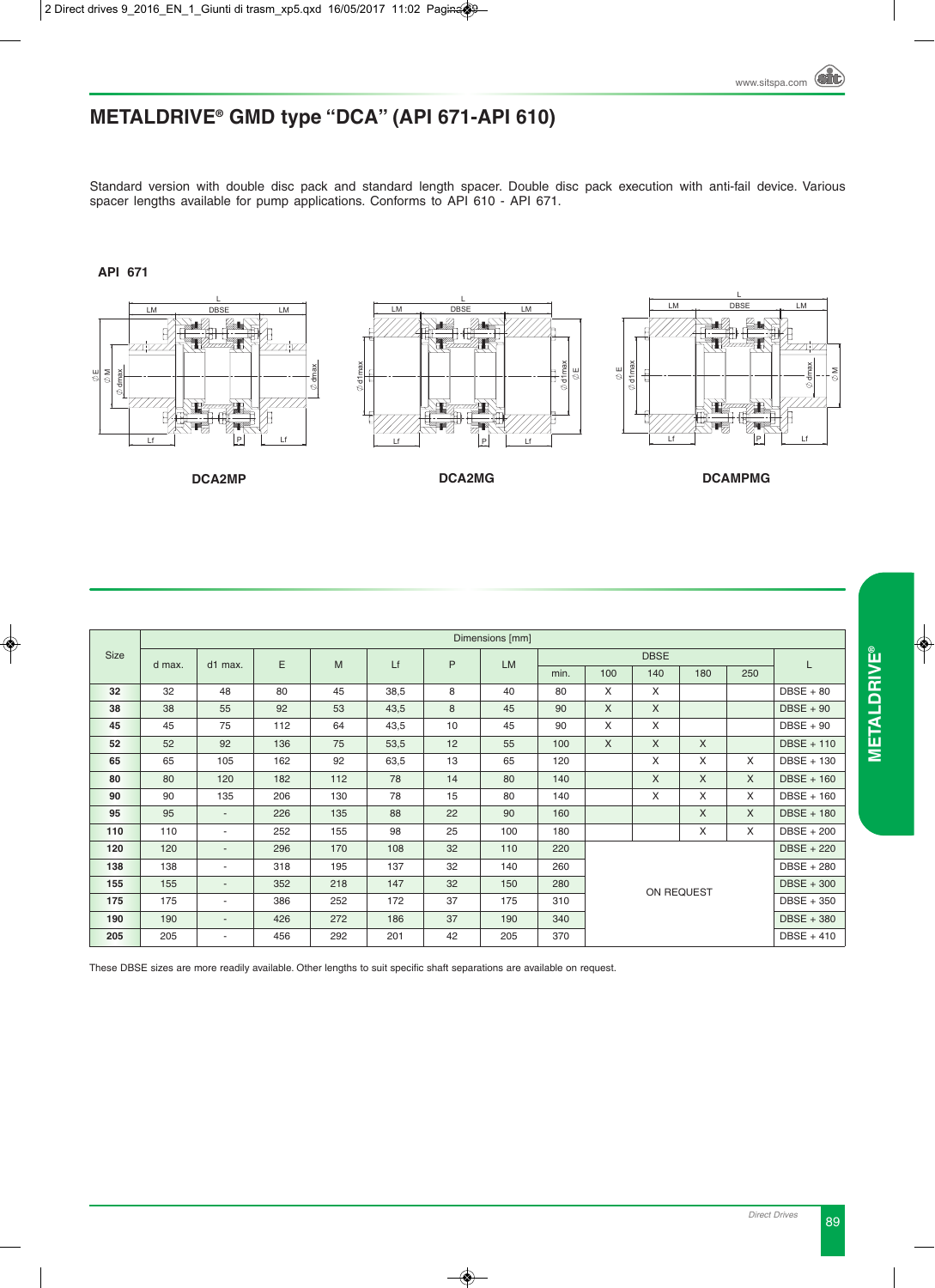# **METALDRIVE® GMD type "DCA" (API 671-API 610)**

Standard version with double disc pack and standard length spacer. Double disc pack execution with anti-fail device. Various spacer lengths available for pump applications. Conforms to API 610 - API 671.

**API 671**



|             |        |                          |     |     |      |    | Dimensions [mm] |      |                            |                   |              |              |                   |  |  |
|-------------|--------|--------------------------|-----|-----|------|----|-----------------|------|----------------------------|-------------------|--------------|--------------|-------------------|--|--|
| <b>Size</b> | d max. | d1 max.                  | E   | M   | Lf   | P  | <b>LM</b>       |      |                            | <b>DBSE</b>       |              |              | L                 |  |  |
|             |        |                          |     |     |      |    |                 | min. | 100                        | 140               | 180          | 250          |                   |  |  |
| 32          | 32     | 48                       | 80  | 45  | 38,5 | 8  | 40              | 80   | X                          | X                 |              |              | $DBSE + 80$       |  |  |
| 38          | 38     | 55                       | 92  | 53  | 43,5 | 8  | 45              | 90   | $\times$                   | $\times$          |              |              | $DBSE + 90$       |  |  |
| 45          | 45     | 75                       | 112 | 64  | 43,5 | 10 | 45              | 90   | X                          | X                 |              |              | $DBSE + 90$       |  |  |
| 52          | 52     | 92                       | 136 | 75  | 53,5 | 12 | 55              | 100  | $\mathsf{X}$               | X                 | $\mathsf{X}$ |              | DBSE + 110        |  |  |
| 65          | 65     | 105                      | 162 | 92  | 63,5 | 13 | 65              | 120  |                            | X                 | X            | X            | DBSE + 130        |  |  |
| 80          | 80     | 120                      | 182 | 112 | 78   | 14 | 80              | 140  |                            | X                 | $\times$     | DBSE + 160   |                   |  |  |
| 90          | 90     | 135                      | 206 | 130 | 78   | 15 | 80              | 140  |                            | X                 | $\times$     | X            | $DBSE + 160$      |  |  |
| 95          | 95     | $\overline{\phantom{a}}$ | 226 | 135 | 88   | 22 | 90              | 160  |                            |                   | X            | $\mathsf{X}$ | <b>DBSE + 180</b> |  |  |
| 110         | 110    | $\overline{\phantom{a}}$ | 252 | 155 | 98   | 25 | 100             | 180  |                            |                   | X            | $\times$     | <b>DBSE + 200</b> |  |  |
| 120         | 120    |                          | 296 | 170 | 108  | 32 | 110             | 220  |                            |                   |              |              | <b>DBSE + 220</b> |  |  |
| 138         | 138    | ٠                        | 318 | 195 | 137  | 32 | 140             | 260  |                            | <b>DBSE + 280</b> |              |              |                   |  |  |
| 155         | 155    | $\sim$                   | 352 | 218 | 147  | 32 | 150             | 280  |                            | $DBSE + 300$      |              |              |                   |  |  |
| 175         | 175    | ٠.                       | 386 | 252 | 172  | 37 | 175             | 310  |                            | DBSE + 350        |              |              |                   |  |  |
| 190         | 190    | $\overline{\phantom{a}}$ | 426 | 272 | 186  | 37 | 190             | 340  | DBSE + 380<br>$DBSE + 410$ |                   |              |              |                   |  |  |
| 205         | 205    |                          | 456 | 292 | 201  | 42 | 205             | 370  |                            |                   |              |              |                   |  |  |

These DBSE sizes are more readily available. Other lengths to suit specific shaft separations are available on request.

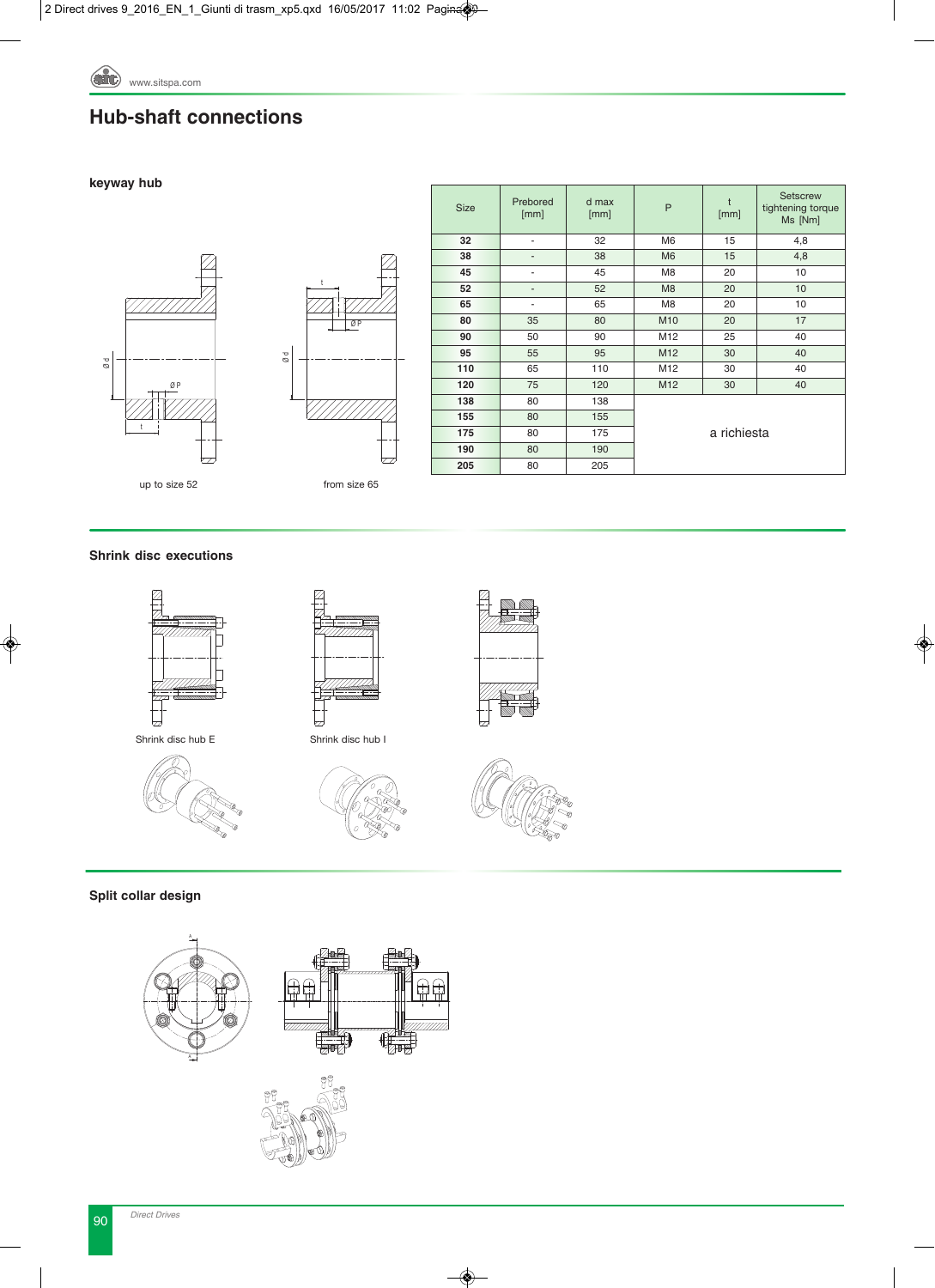### **Hub-shaft connections**

### **keyway hub**





| <b>Size</b> | Prebored<br>[mm] | d max<br>[mm] | P              | t<br>[mm]   | <b>Setscrew</b><br>tightening torque<br>Ms [Nm] |
|-------------|------------------|---------------|----------------|-------------|-------------------------------------------------|
| 32          | ٠                | 32            | M <sub>6</sub> | 15          | 4,8                                             |
| 38          | -                | 38            | M <sub>6</sub> | 15          | 4,8                                             |
| 45          | ٠                | 45            | M8             | 20          | 10                                              |
| 52          |                  | 52            | M <sub>8</sub> | 20          | 10                                              |
| 65          | ٠                | 65            | M <sub>8</sub> | 20          | 10                                              |
| 80          | 35               | 80            | M10            | 20          | 17                                              |
| 90          | 50               | 90            | M12            | 25          | 40                                              |
| 95          | 55               | 95            | M12            | 30          | 40                                              |
| 110         | 65               | 110           | M12            | 30          | 40                                              |
| 120         | 75               | 120           | M12            | 30          | 40                                              |
| 138         | 80               | 138           |                |             |                                                 |
| 155         | 80               | 155           |                |             |                                                 |
| 175         | 80               | 175           |                | a richiesta |                                                 |
| 190         | 80               | 190           |                |             |                                                 |
| 205         | 80               | 205           |                |             |                                                 |

from size 65

### **Shrink disc executions**













**Split collar design**

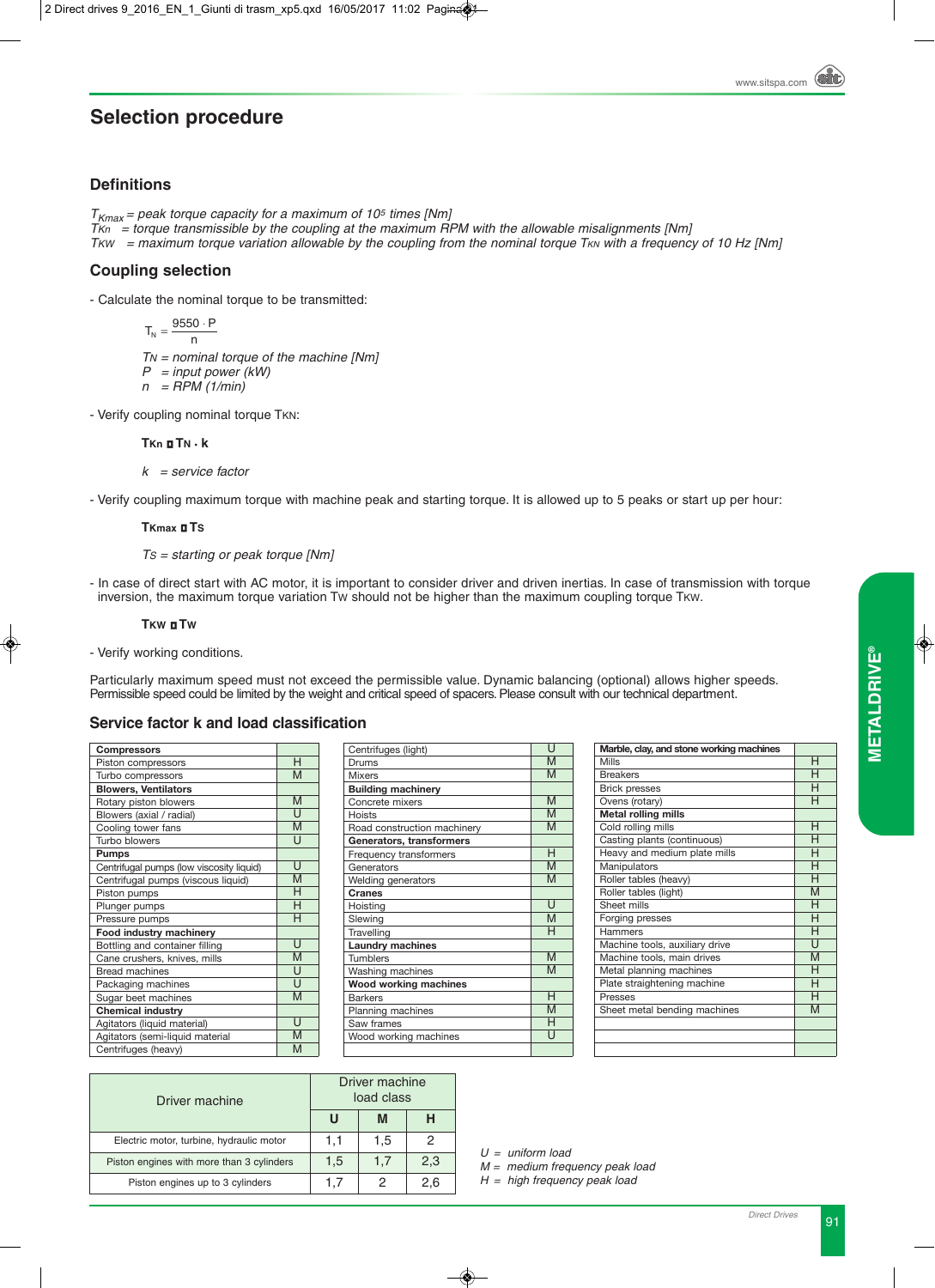#### **Selection procedure** tion procedure

### **Definitions**

 $T_{Kmax}$  = peak torque capacity for a maximum of 10<sup>5</sup> times [Nm] *TKn = torque transmissible by the coupling at the maximum RPM with the allowable misalignments [Nm] TKW = maximum torque variation allowable by the coupling from the nominal torque T<sub>KN</sub> with a frequency of 10 Hz [Nm]* 

#### **Coupling selection** 1 C P<sub>2</sub>P<sub>2</sub>P<sub>2</sub>  $\overline{\phantom{a}}$ naxımum τοrque<br>**טס selection**

- Calculate the nominal torque to be transmitted:

*TN = nominal torque of the machine [Nm] P = input power (kW) n = RPM (1/min)*  $T_{N} = \frac{9550 \cdot P}{n}$ 

- Verify coupling nominal torque TKN:

### **TKn TN • k**

*k = service factor*

- Verify coupling maximum torque with machine peak and starting torque. It is allowed up to 5 peaks or start up per hour:

### **TKmax TS**

*TS = starting or peak torque [Nm]*

- In case of direct start with AC motor, it is important to consider driver and driven inertias. In case of transmission with torque inversion, the maximum torque variation TW should not be higher than the maximum coupling torque TKW.

### **TKW TW**

- Verify working conditions.

Particularly maximum speed must not exceed the permissible value. Dynamic balancing (optional) allows higher speeds. Permissible speed could be limited by the weight and critical speed of spacers. Please consult with our technical department.

Centrifuges (light)

### **Service factor k and load classification**

| <b>Compressors</b>                       |                |
|------------------------------------------|----------------|
| Piston compressors                       | Н              |
| Turbo compressors                        | M              |
| <b>Blowers, Ventilators</b>              |                |
| Rotary piston blowers                    | M              |
| Blowers (axial / radial)                 | U              |
| Cooling tower fans                       | M              |
| Turbo blowers                            | U              |
| <b>Pumps</b>                             |                |
| Centrifugal pumps (low viscosity liquid) | U              |
| Centrifugal pumps (viscous liquid)       | M              |
| Piston pumps                             | н              |
| Plunger pumps                            | Н              |
| Pressure pumps                           | Η              |
| Food industry machinery                  |                |
| Bottling and container filling           | Ū              |
| Cane crushers, knives, mills             | M              |
| <b>Bread machines</b>                    | Ū              |
| Packaging machines                       | U              |
| Sugar beet machines                      | M              |
| <b>Chemical industry</b>                 |                |
| Agitators (liquid material)              | $\overline{U}$ |
| Agitators (semi-liquid material          | M              |
| Centrifuges (heavy)                      | M              |

| Centrifuges (light)          | U            |
|------------------------------|--------------|
| Drums                        | M            |
| <b>Mixers</b>                | M            |
| <b>Building machinery</b>    |              |
| Concrete mixers              | M            |
| <b>Hoists</b>                | M            |
| Road construction machinery  | M            |
| Generators, transformers     |              |
| Frequency transformers       | Н            |
| Generators                   | M            |
| Welding generators           | M            |
| <b>Cranes</b>                |              |
| Hoisting                     | $\mathbf{I}$ |
| Slewing                      | M            |
| Travelling                   | н            |
| <b>Laundry machines</b>      |              |
| <b>Tumblers</b>              | M            |
| Washing machines             | M            |
| <b>Wood working machines</b> |              |
| <b>Barkers</b>               | Н            |
| Planning machines            | M            |
| Saw frames                   | н            |
| Wood working machines        | U            |
|                              |              |

| Marble, clay, and stone working machines |              |
|------------------------------------------|--------------|
| Mills                                    | н            |
| <b>Breakers</b>                          |              |
| <b>Brick presses</b>                     | н            |
| Ovens (rotary)                           | н            |
| Metal rolling mills                      |              |
| Cold rolling mills                       | н            |
| Casting plants (continuous)              | н            |
| Heavy and medium plate mills             | н            |
| Manipulators                             |              |
| Roller tables (heavy)                    | н            |
| Roller tables (light)                    | M            |
| Sheet mills                              | н            |
| Forging presses                          | н            |
| Hammers                                  | н            |
| Machine tools, auxiliary drive           | $\mathsf{I}$ |
| Machine tools, main drives               | M            |
| Metal planning machines                  | н            |
| Plate straightening machine              | н            |
| <b>Presses</b>                           | н            |
| Sheet metal bending machines             | M            |
|                                          |              |
|                                          |              |
|                                          |              |

| Driver machine                            |     | Driver machine<br>load class |     |
|-------------------------------------------|-----|------------------------------|-----|
|                                           | Ш   | M                            |     |
| Electric motor, turbine, hydraulic motor  | 1.1 | 1,5                          |     |
| Piston engines with more than 3 cylinders | 1,5 | 1.7                          | 2,3 |
| Piston engines up to 3 cylinders          | 1.7 |                              | 2,6 |

*U = uniform load*

*M = medium frequency peak load* 

*H = high frequency peak load*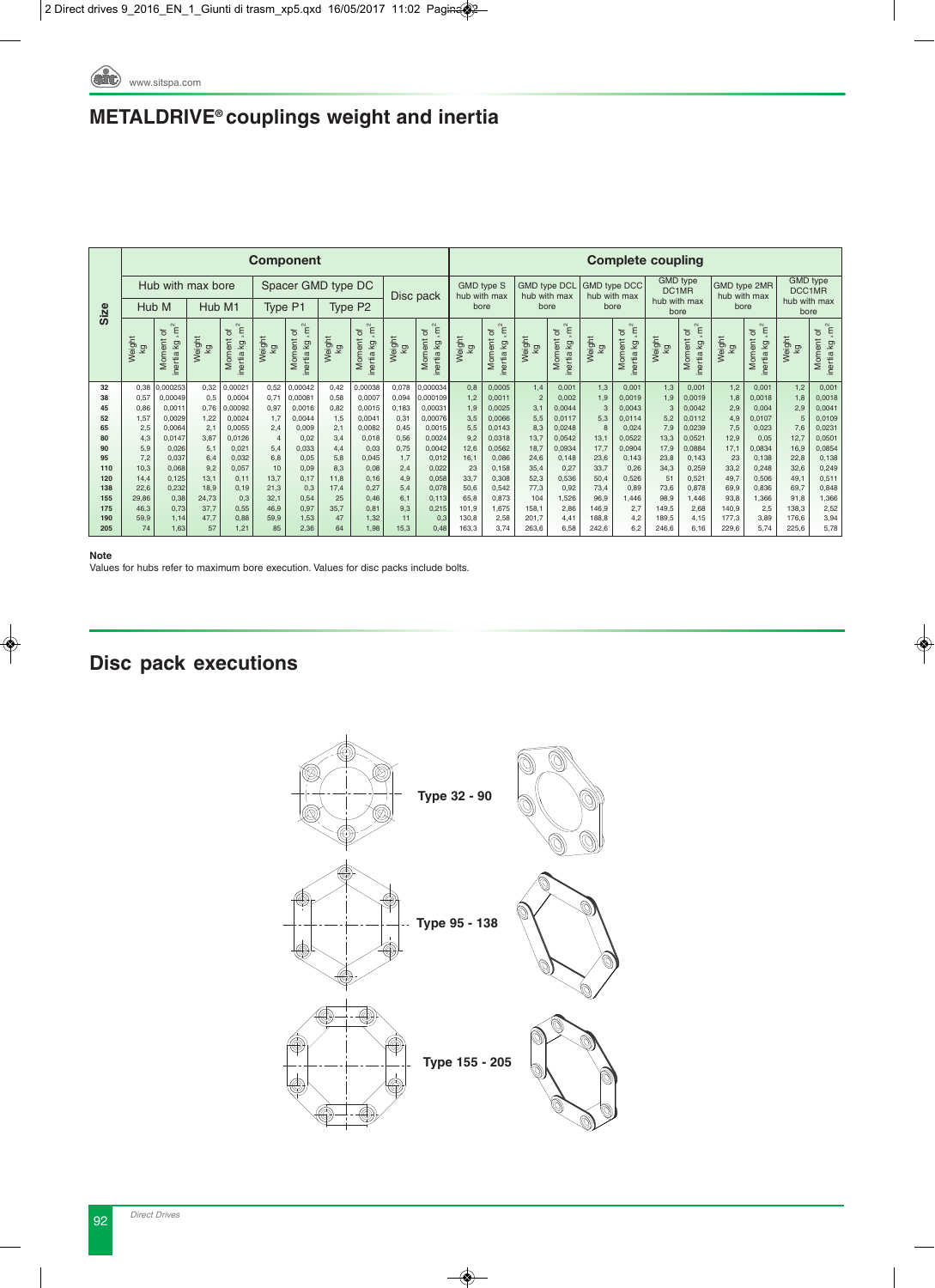# **METALDRIVE® couplings weight and inertia**

|                             |               |                                         |               |                                      |                       | <b>Component</b>                        |              |                                                     |                |                                                                                       |                                   |                                      |                                     |                                         |              |                                      | <b>Complete coupling</b> |                                                      |                              |                                      |                                           |                                      |
|-----------------------------|---------------|-----------------------------------------|---------------|--------------------------------------|-----------------------|-----------------------------------------|--------------|-----------------------------------------------------|----------------|---------------------------------------------------------------------------------------|-----------------------------------|--------------------------------------|-------------------------------------|-----------------------------------------|--------------|--------------------------------------|--------------------------|------------------------------------------------------|------------------------------|--------------------------------------|-------------------------------------------|--------------------------------------|
|                             |               | Hub with max bore                       |               |                                      |                       | Spacer GMD type DC                      |              |                                                     |                | Disc pack                                                                             | <b>GMD type S</b><br>hub with max |                                      | <b>GMD type DCL</b><br>hub with max |                                         |              | <b>GMD type DCC</b><br>hub with max  |                          | <b>GMD</b> type<br>DC <sub>1MR</sub><br>hub with max | GMD type 2MR<br>hub with max |                                      | <b>GMD</b> type<br>DCC1MR<br>hub with max |                                      |
| Size                        |               | Hub M                                   | Hub M1        |                                      |                       | Type P1                                 |              | Type P <sub>2</sub>                                 |                |                                                                                       | bore                              |                                      | bore                                |                                         |              | bore                                 |                          | bore                                                 | bore                         |                                      | bore                                      |                                      |
|                             | Weight<br>kg  | $\times m^2$<br>Moment of<br>inertia kg | Weight<br>kg  | inertia kg $\times m^2$<br>Moment of | Weight<br>Κğ          | $\times m^2$<br>Moment of<br>inertia kg | Weight<br>kg | inertia kg <sub>× m</sub> <sup>2</sup><br>Moment of | Weight<br>kg   | inertia kg $\times m^2$<br>Moment of                                                  | Weight<br>kg                      | inertia kg $\times m^2$<br>Moment of | Weight<br>kg                        | $\times m^2$<br>Moment of<br>inertia kg | Weight<br>kg | inertia kg $\times m^2$<br>Moment of | Weight<br>kg             | $\times m^2$<br>Moment of<br>inertia kg              | Weight<br>kg                 | inertia kg $\times m^2$<br>Moment of | Weight<br>kg                              | inertia kg $\times m^2$<br>Moment of |
| 32<br>38                    | 0,38<br>0,57  | 0,000253<br>0,00049                     | 0,32<br>0,5   | 0,00021<br>0,0004                    | 0,52<br>0,71          | 0,00042<br>0,00081                      | 0,42<br>0,58 | 0,00038<br>0,0007                                   | 0,078<br>0,094 | 0,000034<br>0,000109                                                                  | 0,8<br>1,2                        | 0,0005<br>0,0011                     | 1,4<br>$\overline{c}$               | 0,001<br>0,002                          | 1,3<br>1,9   | 0,001<br>0,0019                      | 1,3<br>1,9               | 0,001<br>0,0019                                      | 1,2<br>1,8                   | 0,001<br>0,0018                      | 1,2<br>1,8                                | 0,001<br>0,0018                      |
| 45                          | 0,86          | 0,0011                                  | 0,76          | 0,00092                              | 0,97                  | 0,0016                                  | 0,82         | 0,0015                                              | 0,183          | 0,00031                                                                               | 1,9                               | 0,0025                               | 3,1                                 | 0,0044                                  | 3            | 0,0043                               | $\overline{3}$           | 0,0042                                               | 2,9                          | 0,004                                | 2,9                                       | 0,0041                               |
| 52                          | 1,57          | 0,0029                                  | 1,22          | 0,0024                               | 1,7                   | 0,0044                                  | 1,5          | 0,0041                                              | 0,31           | 0,00076                                                                               | 3,5                               | 0.0066                               | 5,5                                 | 0,0117                                  | 5,3          | 0,0114                               | 5,2                      | 0,0112                                               | 4,9                          | 0.0107                               | 5                                         | 0,0109                               |
| 65                          | 2,5           | 0,0064                                  | 2,1           | 0,0055                               | 2,4                   | 0,009                                   | 2,1          | 0,0082                                              | 0,45           | 0,0015                                                                                | 5,5                               | 0,0143                               | 8,3                                 | 0,0248                                  | 8            | 0,024                                | 7,9                      | 0,0239                                               | 7,5                          | 0,023                                | 7,6                                       | 0,0231                               |
| 80<br>90                    | 4,3<br>5,9    | 0,0147<br>0,026                         | 3,87<br>5,1   | 0,0126<br>0.021                      | $\overline{4}$<br>5,4 | 0,02<br>0,033                           | 3,4<br>4,4   | 0,018<br>0,03                                       | 0,56<br>0,75   | 0,0024<br>0,0042                                                                      | 9,2<br>12,6                       | 0,0318<br>0,0562                     | 13,7<br>18,7                        | 0,0542<br>0,0934                        | 13,1<br>17,7 | 0,0522<br>0,0904                     | 13,3<br>17,9             | 0,0521<br>0,0884                                     | 12,9<br>17,1                 | 0,05<br>0,0834                       | 12,7<br>16,9                              | 0,0501<br>0,0854                     |
| 95                          | 7,2           | 0,037                                   | 6,4           | 0,032                                | 6,8                   | 0.05                                    | 5,8          | 0,045                                               | 1,7            | 0,012                                                                                 | 16,1                              | 0,086                                | 24,6                                | 0,148                                   | 23,6         | 0,143                                | 23,8                     | 0,143                                                | 23                           | 0,138                                | 22,8                                      | 0,138                                |
| 110                         | 10,3          | 0,068                                   | 9,2           | 0,057                                | 10                    | 0,09                                    | 8,3          | 0,08                                                | 2,4            | 0,022                                                                                 | 23                                | 0,158                                | 35,4                                | 0,27                                    | 33,7         | 0,26                                 | 34,3                     | 0,259                                                | 33,2                         | 0,248                                | 32,6                                      | 0,249                                |
| 120                         | 14,4          | 0,125<br>0,232                          | 13,1          | 0,11                                 | 13,7                  | 0,17                                    | 11,8         | 0,16                                                | 4,9            | 0,058<br>0,078                                                                        | 33,7                              | 0,308<br>0,542                       | 52,3<br>77,3                        | 0,536                                   | 50,4         | 0,526                                | 51                       | 0,521                                                | 49,7                         | 0,506                                | 49,1                                      | 0,511<br>0,848                       |
| 138<br>155                  | 22,6<br>29,86 | 0,38                                    | 18,9<br>24,73 | 0,19<br>0,3                          | 21,3<br>32,1          | 0,3<br>0,54                             | 17,4<br>25   | 0,27<br>0,46                                        | 5,4<br>6,1     | 0,113                                                                                 | 50,6<br>65,8                      | 0,873                                | 104                                 | 0,92<br>1,526                           | 73,4<br>96,9 | 0,89<br>1,446                        | 73,6<br>98,9             | 0,878<br>1,446                                       | 69,9<br>93,8                 | 0,836<br>1,366                       | 69,7<br>91,8                              | 1,366                                |
| 175                         | 46,3          | 0,73                                    | 37,7          | 0,55                                 | 46,9                  | 0,97                                    | 35,7         | 0,81                                                | 9,3            | 0,215                                                                                 | 101,9                             | 1,675                                | 158,1                               | 2,86                                    | 146,9        | 2,7                                  | 149,5                    | 2,68                                                 | 140,9                        | 2,5                                  | 138,3                                     | 2,52                                 |
| 190                         | 59,9          | 1,14                                    | 47,7          | 0,88                                 | 59,9                  | 1,53                                    | 47           | 1,32                                                | 11             | 0,3                                                                                   | 130,8                             | 2,58                                 | 201,7                               | 4,41                                    | 188,8        | 4,2                                  | 189,5                    | 4,15                                                 | 177,3                        | 3,89                                 | 176,6                                     | 3,94                                 |
| 205                         | 74            | 1,63                                    | 57            | 1,21                                 | 85                    | 2,36                                    | 64           | 1,98                                                | 15,3           | 0,48                                                                                  | 163,3                             | 3,74                                 | 263,6                               | 6,58                                    | 242,6        | 6,2                                  | 246,6                    | 6,16                                                 | 229,6                        | 5,74                                 | 225,6                                     | 5,78                                 |
| <b>Note</b>                 |               |                                         |               |                                      |                       |                                         |              |                                                     |                | Values for hubs refer to maximum bore execution. Values for disc packs include bolts. |                                   |                                      |                                     |                                         |              |                                      |                          |                                                      |                              |                                      |                                           |                                      |
| <b>Disc pack executions</b> |               |                                         |               |                                      |                       |                                         |              |                                                     |                |                                                                                       |                                   |                                      |                                     |                                         |              |                                      |                          |                                                      |                              |                                      |                                           |                                      |